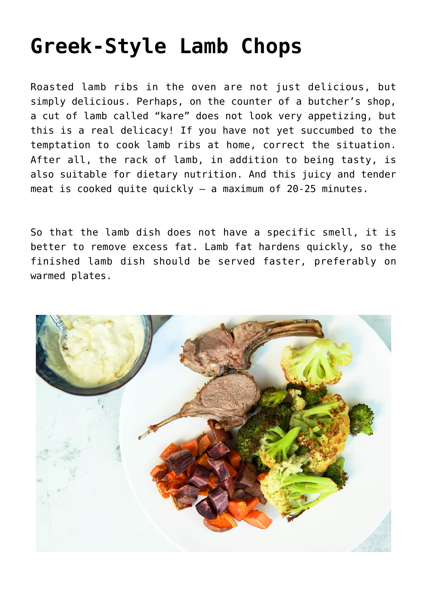# **[Greek-Style Lamb Chops](https://sproutshealth.com/greek-style-lamb-chops/)**

Roasted lamb ribs in the oven are not just delicious, but simply delicious. Perhaps, on the counter of a butcher's shop, a cut of lamb called "kare" does not look very appetizing, but this is a real delicacy! If you have not yet succumbed to the temptation to cook lamb ribs at home, correct the situation. After all, the rack of lamb, in addition to being tasty, is also suitable for dietary nutrition. And this juicy and tender meat is cooked quite quickly – a maximum of 20-25 minutes.

So that the lamb dish does not have a specific smell, it is better to remove excess fat. Lamb fat hardens quickly, so the finished lamb dish should be served faster, preferably on warmed plates.

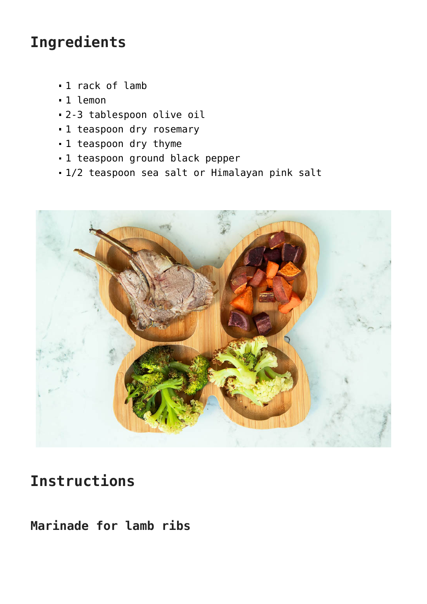## **Ingredients**

- 1 rack of lamb
- 1 lemon
- 2-3 tablespoon olive oil
- $-1$  teaspoon dry rosemary
- 1 teaspoon dry thyme
- 1 teaspoon ground black pepper
- 1/2 teaspoon sea salt or Himalayan pink salt



## **Instructions**

**Marinade for lamb ribs**